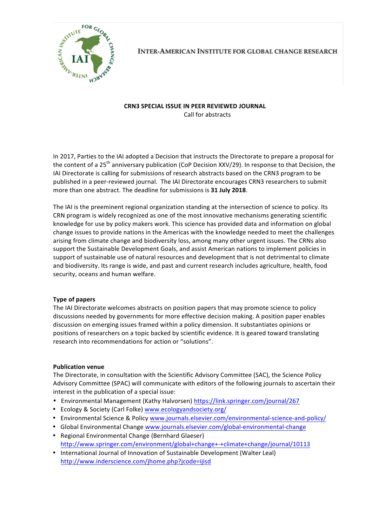

**INTER-AMERICAN INSTITUTE FOR GLOBAL CHANGE RESEARCH** 

# **CRN3 SPECIAL ISSUE IN PEER REVIEWED JOURNAL** Call for abstracts

In 2017, Parties to the IAI adopted a Decision that instructs the Directorate to prepare a proposal for the content of a 25<sup>th</sup> anniversary publication (CoP Decision XXV/29). In response to that Decision, the IAI Directorate is calling for submissions of research abstracts based on the CRN3 program to be published in a peer-reviewed journal. The IAI Directorate encourages CRN3 researchers to submit more than one abstract. The deadline for submissions is 31 July 2018.

The IAI is the preeminent regional organization standing at the intersection of science to policy. Its CRN program is widely recognized as one of the most innovative mechanisms generating scientific knowledge for use by policy makers work. This science has provided data and information on global change issues to provide nations in the Americas with the knowledge needed to meet the challenges arising from climate change and biodiversity loss, among many other urgent issues. The CRNs also support the Sustainable Development Goals, and assist American nations to implement policies in support of sustainable use of natural resources and development that is not detrimental to climate and biodiversity. Its range is wide, and past and current research includes agriculture, health, food security, oceans and human welfare.

# **Type of papers**

The IAI Directorate welcomes abstracts on position papers that may promote science to policy discussions needed by governments for more effective decision making. A position paper enables discussion on emerging issues framed within a policy dimension. It substantiates opinions or positions of researchers on a topic backed by scientific evidence. It is geared toward translating research into recommendations for action or "solutions".

## **Publication venue**

The Directorate, in consultation with the Scientific Advisory Committee (SAC), the Science Policy Advisory Committee (SPAC) will communicate with editors of the following journals to ascertain their interest in the publication of a special issue:

- Environmental Management (Kathy Halvorsen) https://link.springer.com/journal/267
- Ecology & Society (Carl Folke) www.ecologyandsociety.org/
- Environmental Science & Policy www.journals.elsevier.com/environmental-science-and-policy/
- Global Environmental Change www.journals.elsevier.com/global-environmental-change • Regional Environmental Change (Bernhard Glaeser)
- http://www.springer.com/environment/global+change+-+climate+change/journal/10113
- International Journal of Innovation of Sustainable Development (Walter Leal) http://www.inderscience.com/jhome.php?jcode=ijisd